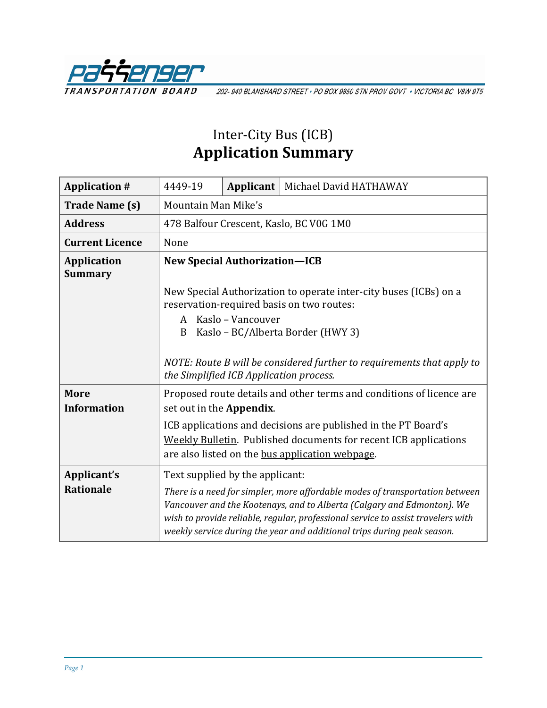

202-940 BLANSHARD STREET · PO BOX 9850 STN PROV GOVT · VICTORIA BC V8W 9T5

## Inter-City Bus (ICB) **Application Summary**

| <b>Application #</b>                 | 4449-19                                                                                                           |  | Applicant   Michael David HATHAWAY                                                                                                                                                                                                                                                                                    |  |  |
|--------------------------------------|-------------------------------------------------------------------------------------------------------------------|--|-----------------------------------------------------------------------------------------------------------------------------------------------------------------------------------------------------------------------------------------------------------------------------------------------------------------------|--|--|
| <b>Trade Name (s)</b>                | Mountain Man Mike's                                                                                               |  |                                                                                                                                                                                                                                                                                                                       |  |  |
| <b>Address</b>                       | 478 Balfour Crescent, Kaslo, BC V0G 1M0                                                                           |  |                                                                                                                                                                                                                                                                                                                       |  |  |
| <b>Current Licence</b>               | None                                                                                                              |  |                                                                                                                                                                                                                                                                                                                       |  |  |
| <b>Application</b><br><b>Summary</b> | <b>New Special Authorization-ICB</b>                                                                              |  |                                                                                                                                                                                                                                                                                                                       |  |  |
|                                      | New Special Authorization to operate inter-city buses (ICBs) on a<br>reservation-required basis on two routes:    |  |                                                                                                                                                                                                                                                                                                                       |  |  |
|                                      | Kaslo - Vancouver<br>A<br>Kaslo - BC/Alberta Border (HWY 3)<br>B                                                  |  |                                                                                                                                                                                                                                                                                                                       |  |  |
|                                      | NOTE: Route B will be considered further to requirements that apply to<br>the Simplified ICB Application process. |  |                                                                                                                                                                                                                                                                                                                       |  |  |
| <b>More</b><br><b>Information</b>    | Proposed route details and other terms and conditions of licence are<br>set out in the Appendix.                  |  |                                                                                                                                                                                                                                                                                                                       |  |  |
|                                      |                                                                                                                   |  | ICB applications and decisions are published in the PT Board's<br>Weekly Bulletin. Published documents for recent ICB applications<br>are also listed on the bus application webpage.                                                                                                                                 |  |  |
| Applicant's                          | Text supplied by the applicant:                                                                                   |  |                                                                                                                                                                                                                                                                                                                       |  |  |
| <b>Rationale</b>                     |                                                                                                                   |  | There is a need for simpler, more affordable modes of transportation between<br>Vancouver and the Kootenays, and to Alberta (Calgary and Edmonton). We<br>wish to provide reliable, regular, professional service to assist travelers with<br>weekly service during the year and additional trips during peak season. |  |  |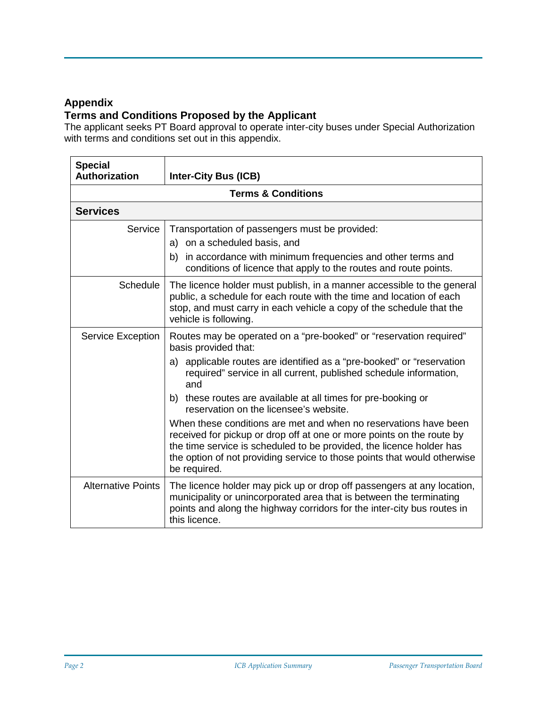## **Appendix**

## **Terms and Conditions Proposed by the Applicant**

The applicant seeks PT Board approval to operate inter-city buses under Special Authorization with terms and conditions set out in this appendix.

| <b>Special</b><br><b>Authorization</b> | <b>Inter-City Bus (ICB)</b>                                                                                                                                                                                                                                                                                   |  |  |  |  |
|----------------------------------------|---------------------------------------------------------------------------------------------------------------------------------------------------------------------------------------------------------------------------------------------------------------------------------------------------------------|--|--|--|--|
| <b>Terms &amp; Conditions</b>          |                                                                                                                                                                                                                                                                                                               |  |  |  |  |
| <b>Services</b>                        |                                                                                                                                                                                                                                                                                                               |  |  |  |  |
| Service                                | Transportation of passengers must be provided:<br>a) on a scheduled basis, and                                                                                                                                                                                                                                |  |  |  |  |
|                                        | b) in accordance with minimum frequencies and other terms and<br>conditions of licence that apply to the routes and route points.                                                                                                                                                                             |  |  |  |  |
| <b>Schedule</b>                        | The licence holder must publish, in a manner accessible to the general<br>public, a schedule for each route with the time and location of each<br>stop, and must carry in each vehicle a copy of the schedule that the<br>vehicle is following.                                                               |  |  |  |  |
| Service Exception                      | Routes may be operated on a "pre-booked" or "reservation required"<br>basis provided that:                                                                                                                                                                                                                    |  |  |  |  |
|                                        | a) applicable routes are identified as a "pre-booked" or "reservation<br>required" service in all current, published schedule information,<br>and                                                                                                                                                             |  |  |  |  |
|                                        | b) these routes are available at all times for pre-booking or<br>reservation on the licensee's website.                                                                                                                                                                                                       |  |  |  |  |
|                                        | When these conditions are met and when no reservations have been<br>received for pickup or drop off at one or more points on the route by<br>the time service is scheduled to be provided, the licence holder has<br>the option of not providing service to those points that would otherwise<br>be required. |  |  |  |  |
| <b>Alternative Points</b>              | The licence holder may pick up or drop off passengers at any location,<br>municipality or unincorporated area that is between the terminating<br>points and along the highway corridors for the inter-city bus routes in<br>this licence.                                                                     |  |  |  |  |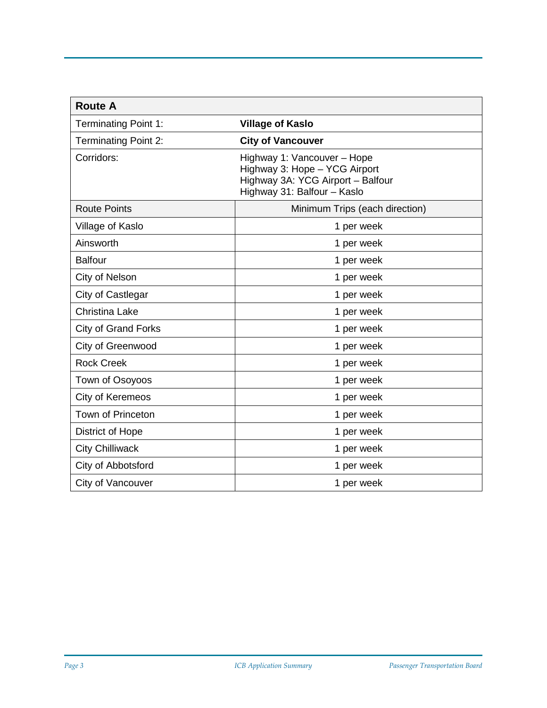| <b>Route A</b>              |                                                                                                                                  |
|-----------------------------|----------------------------------------------------------------------------------------------------------------------------------|
| <b>Terminating Point 1:</b> | <b>Village of Kaslo</b>                                                                                                          |
| <b>Terminating Point 2:</b> | <b>City of Vancouver</b>                                                                                                         |
| Corridors:                  | Highway 1: Vancouver - Hope<br>Highway 3: Hope - YCG Airport<br>Highway 3A: YCG Airport - Balfour<br>Highway 31: Balfour - Kaslo |
| <b>Route Points</b>         | Minimum Trips (each direction)                                                                                                   |
| Village of Kaslo            | 1 per week                                                                                                                       |
| Ainsworth                   | 1 per week                                                                                                                       |
| <b>Balfour</b>              | 1 per week                                                                                                                       |
| City of Nelson              | 1 per week                                                                                                                       |
| City of Castlegar           | 1 per week                                                                                                                       |
| <b>Christina Lake</b>       | 1 per week                                                                                                                       |
| <b>City of Grand Forks</b>  | 1 per week                                                                                                                       |
| City of Greenwood           | 1 per week                                                                                                                       |
| <b>Rock Creek</b>           | 1 per week                                                                                                                       |
| Town of Osoyoos             | 1 per week                                                                                                                       |
| City of Keremeos            | 1 per week                                                                                                                       |
| Town of Princeton           | 1 per week                                                                                                                       |
| <b>District of Hope</b>     | 1 per week                                                                                                                       |
| <b>City Chilliwack</b>      | 1 per week                                                                                                                       |
| City of Abbotsford          | 1 per week                                                                                                                       |
| City of Vancouver           | 1 per week                                                                                                                       |